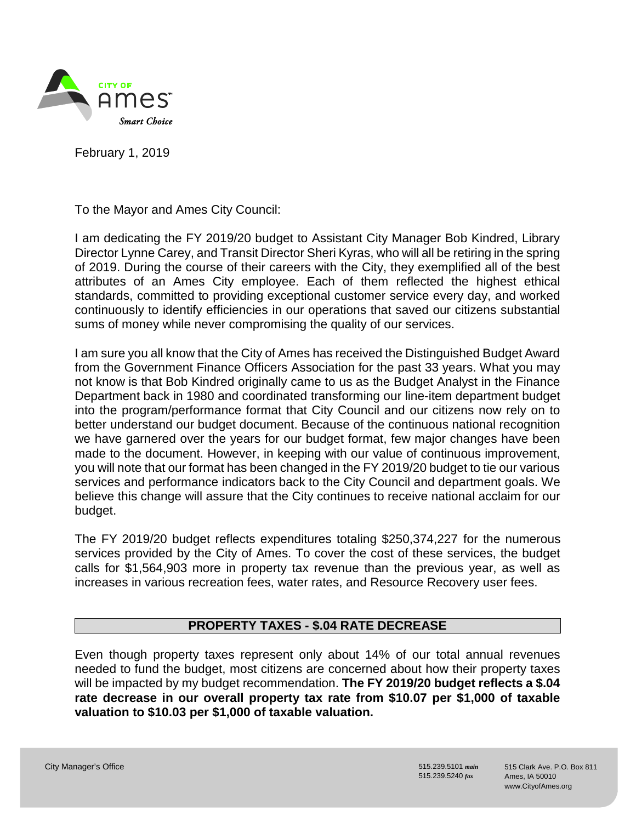

February 1, 2019

To the Mayor and Ames City Council:

I am dedicating the FY 2019/20 budget to Assistant City Manager Bob Kindred, Library Director Lynne Carey, and Transit Director Sheri Kyras, who will all be retiring in the spring of 2019. During the course of their careers with the City, they exemplified all of the best attributes of an Ames City employee. Each of them reflected the highest ethical standards, committed to providing exceptional customer service every day, and worked continuously to identify efficiencies in our operations that saved our citizens substantial sums of money while never compromising the quality of our services.

I am sure you all know that the City of Ames has received the Distinguished Budget Award from the Government Finance Officers Association for the past 33 years. What you may not know is that Bob Kindred originally came to us as the Budget Analyst in the Finance Department back in 1980 and coordinated transforming our line-item department budget into the program/performance format that City Council and our citizens now rely on to better understand our budget document. Because of the continuous national recognition we have garnered over the years for our budget format, few major changes have been made to the document. However, in keeping with our value of continuous improvement, you will note that our format has been changed in the FY 2019/20 budget to tie our various services and performance indicators back to the City Council and department goals. We believe this change will assure that the City continues to receive national acclaim for our budget.

The FY 2019/20 budget reflects expenditures totaling \$250,374,227 for the numerous services provided by the City of Ames. To cover the cost of these services, the budget calls for \$1,564,903 more in property tax revenue than the previous year, as well as increases in various recreation fees, water rates, and Resource Recovery user fees.

# PROPERTY TAXES - \$.04 RATE DECREASE

Even though property taxes represent only about 14% of our total annual revenues needed to fund the budget, most citizens are concerned about how their property taxes will be impacted by my budget recommendation. The FY 2019/20 budget reflects a \$.04 rate decrease in our overall property tax rate from \$10.07 per \$1,000 of taxable valuation to \$10.03 per \$1,000 of taxable valuation.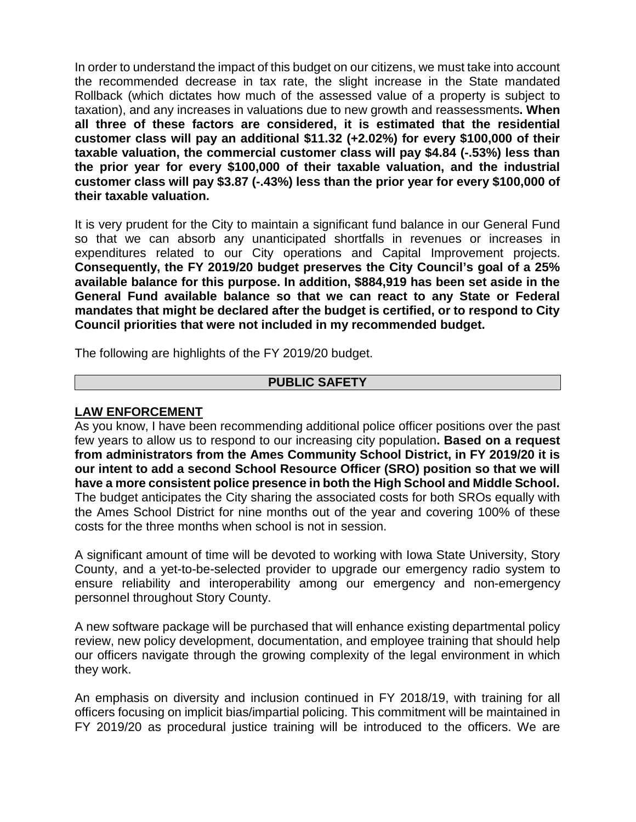In order to understand the impact of this budget on our citizens, we must take into account the recommended decrease in tax rate, the slight increase in the State mandated Rollback (which dictates how much of the assessed value of a property is subject to taxation), and any increases in valuations due to new growth and reassessments. When all three of these factors are considered, it is estimated that the residential customer class will pay an additional \$11.32 (+2.02%) for every \$100,000 of their taxable valuation, the commercial customer class will pay \$4.84 (-.53%) less than the prior year for every \$100,000 of their taxable valuation, and the industrial customer class will pay \$3.87 (-.43%) less than the prior year for every \$100,000 of their taxable valuation.

It is very prudent for the City to maintain a significant fund balance in our General Fund so that we can absorb any unanticipated shortfalls in revenues or increases in expenditures related to our City operations and Capital Improvement projects. Consequently, the FY 2019/20 budget preserves the City Council's goal of a 25% available balance for this purpose. In addition, \$884,919 has been set aside in the General Fund available balance so that we can react to any State or Federal mandates that might be declared after the budget is certified, or to respond to City Council priorities that were not included in my recommended budget.

The following are highlights of the FY 2019/20 budget.

# PUBLIC SAFETY

### LAW ENFORCEMENT

As you know, I have been recommending additional police officer positions over the past few years to allow us to respond to our increasing city population. Based on a request from administrators from the Ames Community School District, in FY 2019/20 it is our intent to add a second School Resource Officer (SRO) position so that we will have a more consistent police presence in both the High School and Middle School. The budget anticipates the City sharing the associated costs for both SROs equally with the Ames School District for nine months out of the year and covering 100% of these costs for the three months when school is not in session.

A significant amount of time will be devoted to working with Iowa State University, Story County, and a yet-to-be-selected provider to upgrade our emergency radio system to ensure reliability and interoperability among our emergency and non-emergency personnel throughout Story County.

A new software package will be purchased that will enhance existing departmental policy review, new policy development, documentation, and employee training that should help our officers navigate through the growing complexity of the legal environment in which they work.

An emphasis on diversity and inclusion continued in FY 2018/19, with training for all officers focusing on implicit bias/impartial policing. This commitment will be maintained in FY 2019/20 as procedural justice training will be introduced to the officers. We are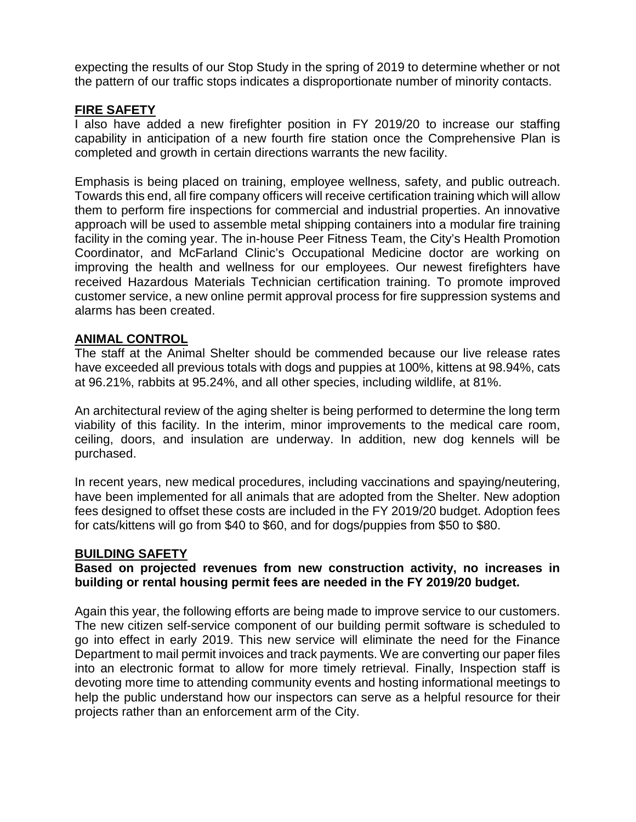expecting the results of our Stop Study in the spring of 2019 to determine whether or not the pattern of our traffic stops indicates a disproportionate number of minority contacts.

#### FIRE SAFETY

I also have added a new firefighter position in FY 2019/20 to increase our staffing capability in anticipation of a new fourth fire station once the Comprehensive Plan is completed and growth in certain directions warrants the new facility.

Emphasis is being placed on training, employee wellness, safety, and public outreach. Towards this end, all fire company officers will receive certification training which will allow them to perform fire inspections for commercial and industrial properties. An innovative approach will be used to assemble metal shipping containers into a modular fire training facility in the coming year. The in-house Peer Fitness Team, the City's Health Promotion Coordinator, and McFarland Clinic's Occupational Medicine doctor are working on improving the health and wellness for our employees. Our newest firefighters have received Hazardous Materials Technician certification training. To promote improved customer service, a new online permit approval process for fire suppression systems and alarms has been created.

# ANIMAL CONTROL

The staff at the Animal Shelter should be commended because our live release rates have exceeded all previous totals with dogs and puppies at 100%, kittens at 98.94%, cats at 96.21%, rabbits at 95.24%, and all other species, including wildlife, at 81%.

An architectural review of the aging shelter is being performed to determine the long term viability of this facility. In the interim, minor improvements to the medical care room, ceiling, doors, and insulation are underway. In addition, new dog kennels will be purchased.

In recent years, new medical procedures, including vaccinations and spaying/neutering, have been implemented for all animals that are adopted from the Shelter. New adoption fees designed to offset these costs are included in the FY 2019/20 budget. Adoption fees for cats/kittens will go from \$40 to \$60, and for dogs/puppies from \$50 to \$80.

#### BUILDING SAFETY

### Based on projected revenues from new construction activity, no increases in building or rental housing permit fees are needed in the FY 2019/20 budget.

Again this year, the following efforts are being made to improve service to our customers. The new citizen self-service component of our building permit software is scheduled to go into effect in early 2019. This new service will eliminate the need for the Finance Department to mail permit invoices and track payments. We are converting our paper files into an electronic format to allow for more timely retrieval. Finally, Inspection staff is devoting more time to attending community events and hosting informational meetings to help the public understand how our inspectors can serve as a helpful resource for their projects rather than an enforcement arm of the City.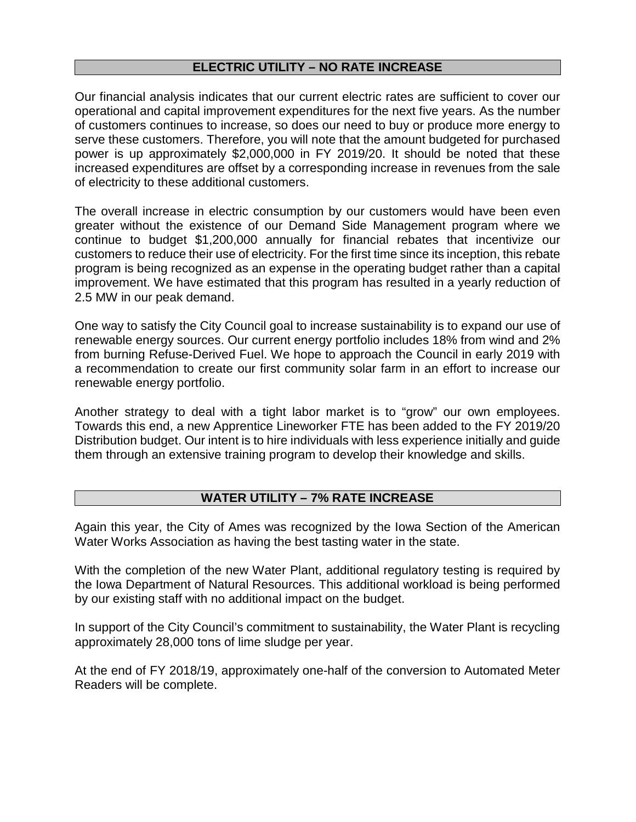#### ELECTRIC UTILITY – NO RATE INCREASE

Our financial analysis indicates that our current electric rates are sufficient to cover our operational and capital improvement expenditures for the next five years. As the number of customers continues to increase, so does our need to buy or produce more energy to serve these customers. Therefore, you will note that the amount budgeted for purchased power is up approximately \$2,000,000 in FY 2019/20. It should be noted that these increased expenditures are offset by a corresponding increase in revenues from the sale of electricity to these additional customers.

The overall increase in electric consumption by our customers would have been even greater without the existence of our Demand Side Management program where we continue to budget \$1,200,000 annually for financial rebates that incentivize our customers to reduce their use of electricity. For the first time since its inception, this rebate program is being recognized as an expense in the operating budget rather than a capital improvement. We have estimated that this program has resulted in a yearly reduction of 2.5 MW in our peak demand.

One way to satisfy the City Council goal to increase sustainability is to expand our use of renewable energy sources. Our current energy portfolio includes 18% from wind and 2% from burning Refuse-Derived Fuel. We hope to approach the Council in early 2019 with a recommendation to create our first community solar farm in an effort to increase our renewable energy portfolio.

Another strategy to deal with a tight labor market is to "grow" our own employees. Towards this end, a new Apprentice Lineworker FTE has been added to the FY 2019/20 Distribution budget. Our intent is to hire individuals with less experience initially and guide them through an extensive training program to develop their knowledge and skills.

# WATER UTILITY – 7% RATE INCREASE

Again this year, the City of Ames was recognized by the Iowa Section of the American Water Works Association as having the best tasting water in the state.

With the completion of the new Water Plant, additional regulatory testing is required by the Iowa Department of Natural Resources. This additional workload is being performed by our existing staff with no additional impact on the budget.

In support of the City Council's commitment to sustainability, the Water Plant is recycling approximately 28,000 tons of lime sludge per year.

At the end of FY 2018/19, approximately one-half of the conversion to Automated Meter Readers will be complete.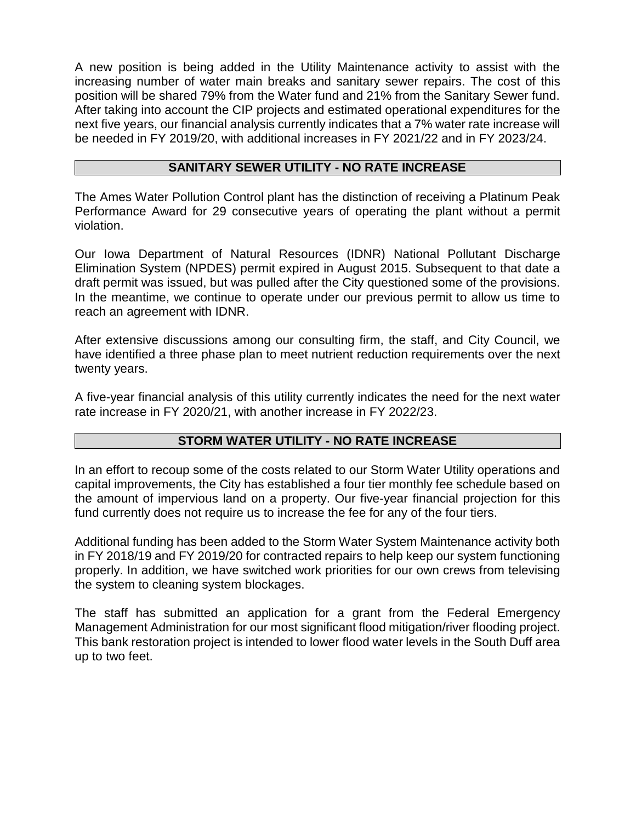A new position is being added in the Utility Maintenance activity to assist with the increasing number of water main breaks and sanitary sewer repairs. The cost of this position will be shared 79% from the Water fund and 21% from the Sanitary Sewer fund. After taking into account the CIP projects and estimated operational expenditures for the next five years, our financial analysis currently indicates that a 7% water rate increase will be needed in FY 2019/20, with additional increases in FY 2021/22 and in FY 2023/24.

### SANITARY SEWER UTILITY - NO RATE INCREASE

The Ames Water Pollution Control plant has the distinction of receiving a Platinum Peak Performance Award for 29 consecutive years of operating the plant without a permit violation.

Our Iowa Department of Natural Resources (IDNR) National Pollutant Discharge Elimination System (NPDES) permit expired in August 2015. Subsequent to that date a draft permit was issued, but was pulled after the City questioned some of the provisions. In the meantime, we continue to operate under our previous permit to allow us time to reach an agreement with IDNR.

After extensive discussions among our consulting firm, the staff, and City Council, we have identified a three phase plan to meet nutrient reduction requirements over the next twenty years.

A five-year financial analysis of this utility currently indicates the need for the next water rate increase in FY 2020/21, with another increase in FY 2022/23.

# STORM WATER UTILITY - NO RATE INCREASE

In an effort to recoup some of the costs related to our Storm Water Utility operations and capital improvements, the City has established a four tier monthly fee schedule based on the amount of impervious land on a property. Our five-year financial projection for this fund currently does not require us to increase the fee for any of the four tiers.

Additional funding has been added to the Storm Water System Maintenance activity both in FY 2018/19 and FY 2019/20 for contracted repairs to help keep our system functioning properly. In addition, we have switched work priorities for our own crews from televising the system to cleaning system blockages.

The staff has submitted an application for a grant from the Federal Emergency Management Administration for our most significant flood mitigation/river flooding project. This bank restoration project is intended to lower flood water levels in the South Duff area up to two feet.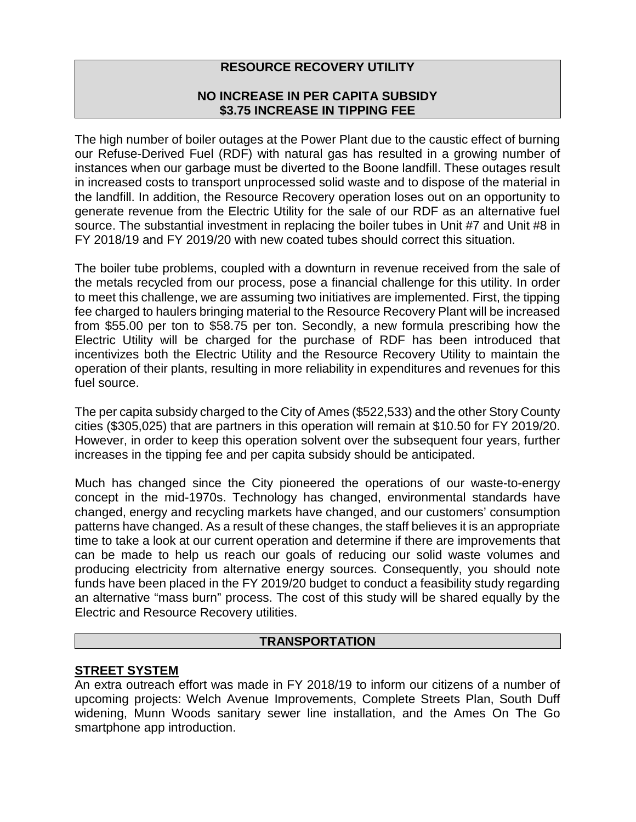# RESOURCE RECOVERY UTILITY

# NO INCREASE IN PER CAPITA SUBSIDY \$3.75 INCREASE IN TIPPING FEE

The high number of boiler outages at the Power Plant due to the caustic effect of burning our Refuse-Derived Fuel (RDF) with natural gas has resulted in a growing number of instances when our garbage must be diverted to the Boone landfill. These outages result in increased costs to transport unprocessed solid waste and to dispose of the material in the landfill. In addition, the Resource Recovery operation loses out on an opportunity to generate revenue from the Electric Utility for the sale of our RDF as an alternative fuel source. The substantial investment in replacing the boiler tubes in Unit #7 and Unit #8 in FY 2018/19 and FY 2019/20 with new coated tubes should correct this situation.

The boiler tube problems, coupled with a downturn in revenue received from the sale of the metals recycled from our process, pose a financial challenge for this utility. In order to meet this challenge, we are assuming two initiatives are implemented. First, the tipping fee charged to haulers bringing material to the Resource Recovery Plant will be increased from \$55.00 per ton to \$58.75 per ton. Secondly, a new formula prescribing how the Electric Utility will be charged for the purchase of RDF has been introduced that incentivizes both the Electric Utility and the Resource Recovery Utility to maintain the operation of their plants, resulting in more reliability in expenditures and revenues for this fuel source.

The per capita subsidy charged to the City of Ames (\$522,533) and the other Story County cities (\$305,025) that are partners in this operation will remain at \$10.50 for FY 2019/20. However, in order to keep this operation solvent over the subsequent four years, further increases in the tipping fee and per capita subsidy should be anticipated.

Much has changed since the City pioneered the operations of our waste-to-energy concept in the mid-1970s. Technology has changed, environmental standards have changed, energy and recycling markets have changed, and our customers' consumption patterns have changed. As a result of these changes, the staff believes it is an appropriate time to take a look at our current operation and determine if there are improvements that can be made to help us reach our goals of reducing our solid waste volumes and producing electricity from alternative energy sources. Consequently, you should note funds have been placed in the FY 2019/20 budget to conduct a feasibility study regarding an alternative "mass burn" process. The cost of this study will be shared equally by the Electric and Resource Recovery utilities.

#### TRANSPORTATION

# STREET SYSTEM

An extra outreach effort was made in FY 2018/19 to inform our citizens of a number of upcoming projects: Welch Avenue Improvements, Complete Streets Plan, South Duff widening, Munn Woods sanitary sewer line installation, and the Ames On The Go smartphone app introduction.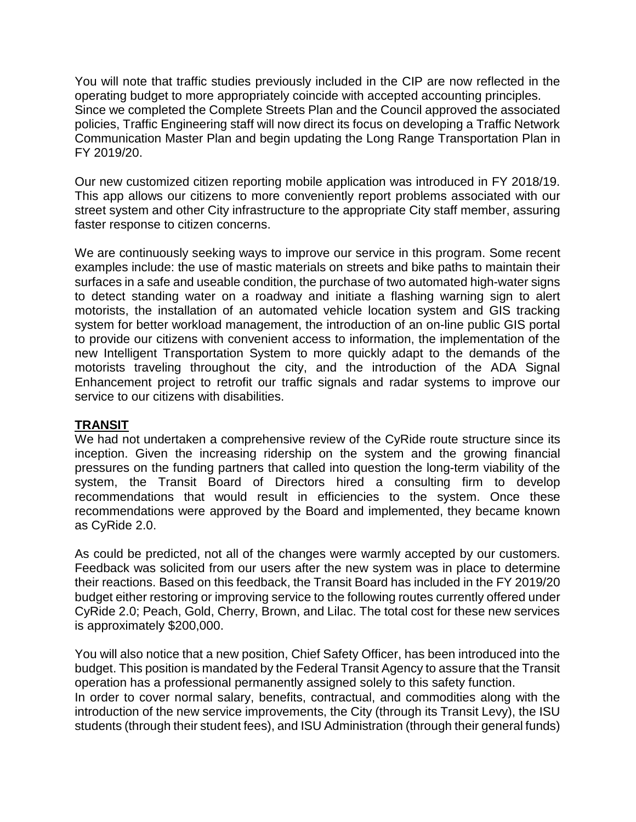You will note that traffic studies previously included in the CIP are now reflected in the operating budget to more appropriately coincide with accepted accounting principles. Since we completed the Complete Streets Plan and the Council approved the associated policies, Traffic Engineering staff will now direct its focus on developing a Traffic Network Communication Master Plan and begin updating the Long Range Transportation Plan in FY 2019/20.

Our new customized citizen reporting mobile application was introduced in FY 2018/19. This app allows our citizens to more conveniently report problems associated with our street system and other City infrastructure to the appropriate City staff member, assuring faster response to citizen concerns.

We are continuously seeking ways to improve our service in this program. Some recent examples include: the use of mastic materials on streets and bike paths to maintain their surfaces in a safe and useable condition, the purchase of two automated high-water signs to detect standing water on a roadway and initiate a flashing warning sign to alert motorists, the installation of an automated vehicle location system and GIS tracking system for better workload management, the introduction of an on-line public GIS portal to provide our citizens with convenient access to information, the implementation of the new Intelligent Transportation System to more quickly adapt to the demands of the motorists traveling throughout the city, and the introduction of the ADA Signal Enhancement project to retrofit our traffic signals and radar systems to improve our service to our citizens with disabilities.

# **TRANSIT**

We had not undertaken a comprehensive review of the CyRide route structure since its inception. Given the increasing ridership on the system and the growing financial pressures on the funding partners that called into question the long-term viability of the system, the Transit Board of Directors hired a consulting firm to develop recommendations that would result in efficiencies to the system. Once these recommendations were approved by the Board and implemented, they became known as CyRide 2.0.

As could be predicted, not all of the changes were warmly accepted by our customers. Feedback was solicited from our users after the new system was in place to determine their reactions. Based on this feedback, the Transit Board has included in the FY 2019/20 budget either restoring or improving service to the following routes currently offered under CyRide 2.0; Peach, Gold, Cherry, Brown, and Lilac. The total cost for these new services is approximately \$200,000.

You will also notice that a new position, Chief Safety Officer, has been introduced into the budget. This position is mandated by the Federal Transit Agency to assure that the Transit operation has a professional permanently assigned solely to this safety function. In order to cover normal salary, benefits, contractual, and commodities along with the introduction of the new service improvements, the City (through its Transit Levy), the ISU students (through their student fees), and ISU Administration (through their general funds)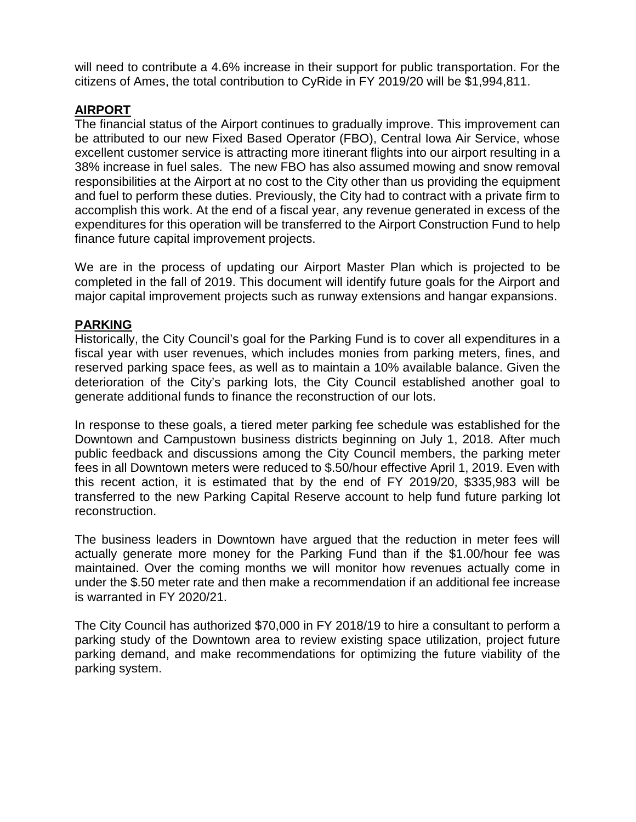will need to contribute a 4.6% increase in their support for public transportation. For the citizens of Ames, the total contribution to CyRide in FY 2019/20 will be \$1,994,811.

# AIRPORT

The financial status of the Airport continues to gradually improve. This improvement can be attributed to our new Fixed Based Operator (FBO), Central Iowa Air Service, whose excellent customer service is attracting more itinerant flights into our airport resulting in a 38% increase in fuel sales. The new FBO has also assumed mowing and snow removal responsibilities at the Airport at no cost to the City other than us providing the equipment and fuel to perform these duties. Previously, the City had to contract with a private firm to accomplish this work. At the end of a fiscal year, any revenue generated in excess of the expenditures for this operation will be transferred to the Airport Construction Fund to help finance future capital improvement projects.

We are in the process of updating our Airport Master Plan which is projected to be completed in the fall of 2019. This document will identify future goals for the Airport and major capital improvement projects such as runway extensions and hangar expansions.

### PARKING

Historically, the City Council's goal for the Parking Fund is to cover all expenditures in a fiscal year with user revenues, which includes monies from parking meters, fines, and reserved parking space fees, as well as to maintain a 10% available balance. Given the deterioration of the City's parking lots, the City Council established another goal to generate additional funds to finance the reconstruction of our lots.

In response to these goals, a tiered meter parking fee schedule was established for the Downtown and Campustown business districts beginning on July 1, 2018. After much public feedback and discussions among the City Council members, the parking meter fees in all Downtown meters were reduced to \$.50/hour effective April 1, 2019. Even with this recent action, it is estimated that by the end of FY 2019/20, \$335,983 will be transferred to the new Parking Capital Reserve account to help fund future parking lot reconstruction.

The business leaders in Downtown have argued that the reduction in meter fees will actually generate more money for the Parking Fund than if the \$1.00/hour fee was maintained. Over the coming months we will monitor how revenues actually come in under the \$.50 meter rate and then make a recommendation if an additional fee increase is warranted in FY 2020/21.

The City Council has authorized \$70,000 in FY 2018/19 to hire a consultant to perform a parking study of the Downtown area to review existing space utilization, project future parking demand, and make recommendations for optimizing the future viability of the parking system.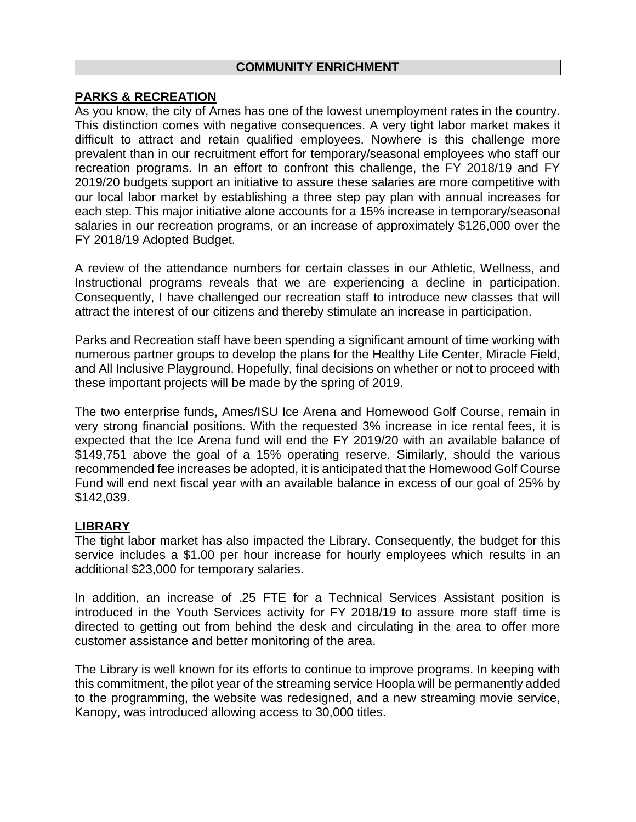#### COMMUNITY ENRICHMENT

# PARKS & RECREATION

As you know, the city of Ames has one of the lowest unemployment rates in the country. This distinction comes with negative consequences. A very tight labor market makes it difficult to attract and retain qualified employees. Nowhere is this challenge more prevalent than in our recruitment effort for temporary/seasonal employees who staff our recreation programs. In an effort to confront this challenge, the FY 2018/19 and FY 2019/20 budgets support an initiative to assure these salaries are more competitive with our local labor market by establishing a three step pay plan with annual increases for each step. This major initiative alone accounts for a 15% increase in temporary/seasonal salaries in our recreation programs, or an increase of approximately \$126,000 over the FY 2018/19 Adopted Budget.

A review of the attendance numbers for certain classes in our Athletic, Wellness, and Instructional programs reveals that we are experiencing a decline in participation. Consequently, I have challenged our recreation staff to introduce new classes that will attract the interest of our citizens and thereby stimulate an increase in participation.

Parks and Recreation staff have been spending a significant amount of time working with numerous partner groups to develop the plans for the Healthy Life Center, Miracle Field, and All Inclusive Playground. Hopefully, final decisions on whether or not to proceed with these important projects will be made by the spring of 2019.

The two enterprise funds, Ames/ISU Ice Arena and Homewood Golf Course, remain in very strong financial positions. With the requested 3% increase in ice rental fees, it is expected that the Ice Arena fund will end the FY 2019/20 with an available balance of \$149,751 above the goal of a 15% operating reserve. Similarly, should the various recommended fee increases be adopted, it is anticipated that the Homewood Golf Course Fund will end next fiscal year with an available balance in excess of our goal of 25% by \$142,039.

#### LIBRARY

The tight labor market has also impacted the Library. Consequently, the budget for this service includes a \$1.00 per hour increase for hourly employees which results in an additional \$23,000 for temporary salaries.

In addition, an increase of .25 FTE for a Technical Services Assistant position is introduced in the Youth Services activity for FY 2018/19 to assure more staff time is directed to getting out from behind the desk and circulating in the area to offer more customer assistance and better monitoring of the area.

The Library is well known for its efforts to continue to improve programs. In keeping with this commitment, the pilot year of the streaming service Hoopla will be permanently added to the programming, the website was redesigned, and a new streaming movie service, Kanopy, was introduced allowing access to 30,000 titles.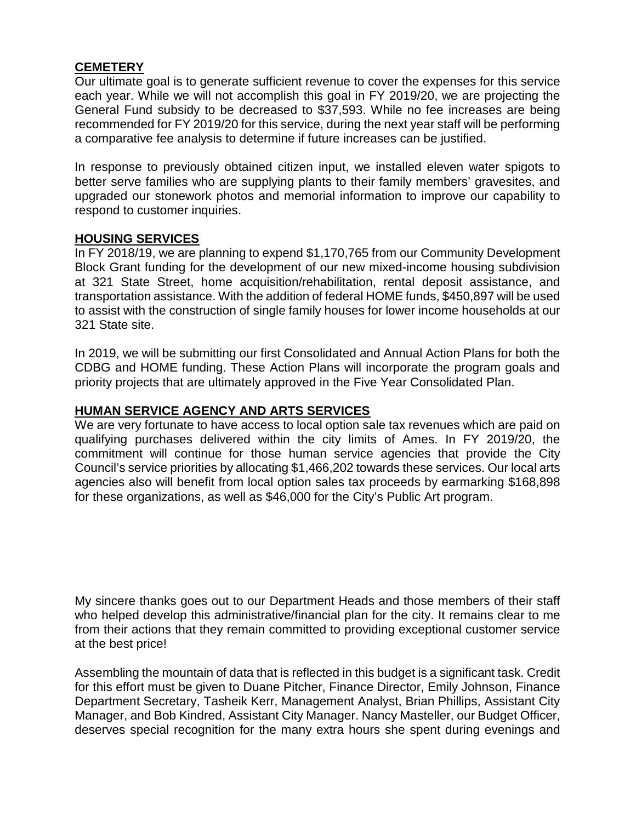### **CEMETERY**

Our ultimate goal is to generate sufficient revenue to cover the expenses for this service each year. While we will not accomplish this goal in FY 2019/20, we are projecting the General Fund subsidy to be decreased to \$37,593. While no fee increases are being recommended for FY 2019/20 for this service, during the next year staff will be performing a comparative fee analysis to determine if future increases can be justified.

In response to previously obtained citizen input, we installed eleven water spigots to better serve families who are supplying plants to their family members' gravesites, and upgraded our stonework photos and memorial information to improve our capability to respond to customer inquiries.

### HOUSING SERVICES

In FY 2018/19, we are planning to expend \$1,170,765 from our Community Development Block Grant funding for the development of our new mixed-income housing subdivision at 321 State Street, home acquisition/rehabilitation, rental deposit assistance, and transportation assistance. With the addition of federal HOME funds, \$450,897 will be used to assist with the construction of single family houses for lower income households at our 321 State site.

In 2019, we will be submitting our first Consolidated and Annual Action Plans for both the CDBG and HOME funding. These Action Plans will incorporate the program goals and priority projects that are ultimately approved in the Five Year Consolidated Plan.

### HUMAN SERVICE AGENCY AND ARTS SERVICES

We are very fortunate to have access to local option sale tax revenues which are paid on qualifying purchases delivered within the city limits of Ames. In FY 2019/20, the commitment will continue for those human service agencies that provide the City Council's service priorities by allocating \$1,466,202 towards these services. Our local arts agencies also will benefit from local option sales tax proceeds by earmarking \$168,898 for these organizations, as well as \$46,000 for the City's Public Art program.

My sincere thanks goes out to our Department Heads and those members of their staff who helped develop this administrative/financial plan for the city. It remains clear to me from their actions that they remain committed to providing exceptional customer service at the best price!

Assembling the mountain of data that is reflected in this budget is a significant task. Credit for this effort must be given to Duane Pitcher, Finance Director, Emily Johnson, Finance Department Secretary, Tasheik Kerr, Management Analyst, Brian Phillips, Assistant City Manager, and Bob Kindred, Assistant City Manager. Nancy Masteller, our Budget Officer, deserves special recognition for the many extra hours she spent during evenings and